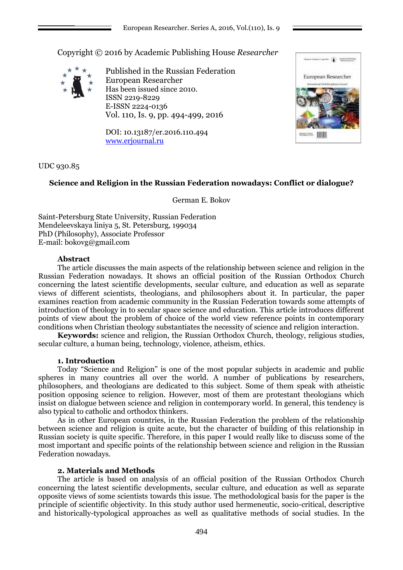Copyright © 2016 by Academic Publishing House *Researcher*



Published in the Russian Federation European Researcher Has been issued since 2010. ISSN 2219-8229 E-ISSN 2224-0136 Vol. 110, Is. 9, pp. 494-499, 2016

DOI: 10.13187/er.2016.110.494 [www.erjournal.ru](http://www.erjournal.ru/)



UDC 930.85

# **Science and Religion in the Russian Federation nowadays: Conflict or dialogue?**

German E. Bokov

Saint-Petersburg State University, Russian Federation Mendeleevskaya liniya 5, St. Petersburg, 199034 PhD (Philosophy), Associate Professor E-mail: bokovg@gmail.com

## **Abstract**

The article discusses the main aspects of the relationship between science and religion in the Russian Federation nowadays. It shows an official position of the Russian Orthodox Church concerning the latest scientific developments, secular culture, and education as well as separate views of different scientists, theologians, and philosophers about it. In particular, the paper examines reaction from academic community in the Russian Federation towards some attempts of introduction of theology in to secular space science and education. This article introduces different points of view about the problem of choice of the world view reference points in contemporary conditions when Christian theology substantiates the necessity of science and religion interaction.

**Keywords:** science and religion, the Russian Orthodox Church, theology, religious studies, secular culture, a human being, technology, violence, atheism, ethics.

## **1. Introduction**

Today "Science and Religion" is one of the most popular subjects in academic and public spheres in many countries all over the world. A number of publications by researchers, philosophers, and theologians are dedicated to this subject. Some of them speak with atheistic position opposing science to religion. However, most of them are protestant theologians which insist on dialogue between science and religion in contemporary world. In general, this tendency is also typical to catholic and orthodox thinkers.

As in other European countries, in the Russian Federation the problem of the relationship between science and religion is quite acute, but the character of building of this relationship in Russian society is quite specific. Therefore, in this paper I would really like to discuss some of the most important and specific points of the relationship between science and religion in the Russian Federation nowadays.

## **2. Materials and Methods**

The article is based on analysis of an official position of the Russian Orthodox Church concerning the latest scientific developments, secular culture, and education as well as separate opposite views of some scientists towards this issue. The methodological basis for the paper is the principle of scientific objectivity. In this study author used hermeneutic, socio-critical, descriptive and historically-typological approaches as well as qualitative methods of social studies. In the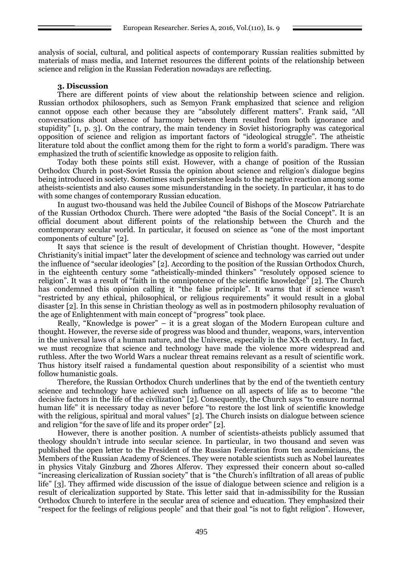analysis of social, cultural, and political aspects of contemporary Russian realities submitted by materials of mass media, and Internet resources the different points of the relationship between science and religion in the Russian Federation nowadays are reflecting.

#### **3. Discussion**

There are different points of view about the relationship between science and religion. Russian orthodox philosophers, such as Semyon Frank emphasized that science and religion cannot oppose each other because they are "absolutely different matters". Frank said, "All conversations about absence of harmony between them resulted from both ignorance and stupidity" [1, p. 3]. On the contrary, the main tendency in Soviet historiography was categorical opposition of science and religion as important factors of "ideological struggle". The atheistic literature told about the conflict among them for the right to form a world's paradigm. There was emphasized the truth of scientific knowledge as opposite to religion faith.

Today both these points still exist. However, with a change of position of the Russian Orthodox Church in post-Soviet Russia the opinion about science and religion's dialogue begins being introduced in society. Sometimes such persistence leads to the negative reaction among some atheists-scientists and also causes some misunderstanding in the society. In particular, it has to do with some changes of contemporary Russian education.

In august two-thousand was held the Jubilee Council of Bishops of the Moscow Patriarchate of the Russian Orthodox Church. There were adopted "the Basis of the Social Concept". It is an official document about different points of the relationship between the Church and the contemporary secular world. In particular, it focused on science as "one of the most important components of culture" [2].

It says that science is the result of development of Christian thought. However, "despite Christianity's initial impact" later the development of science and technology was carried out under the influence of "secular ideologies" [2]. According to the position of the Russian Orthodox Church, in the eighteenth century some "atheistically-minded thinkers" "resolutely opposed science to religion". It was a result of "faith in the omnipotence of the scientific knowledge" [2]. The Church has condemned this opinion calling it "the false principle". It warns that if science wasn't "restricted by any ethical, philosophical, or religious requirements" it would result in a global disaster [2]. In this sense in Christian theology as well as in postmodern philosophy revaluation of the age of Enlightenment with main concept of "progress" took place.

Really, "Knowledge is power" – it is a great slogan of the Modern European culture and thought. However, the reverse side of progress was blood and thunder, weapons, wars, intervention in the universal laws of a human nature, and the Universe, especially in the XX-th century. In fact, we must recognize that science and technology have made the violence more widespread and ruthless. After the two World Wars a nuclear threat remains relevant as a result of scientific work. Thus history itself raised a fundamental question about responsibility of a scientist who must follow humanistic goals.

Therefore, the Russian Orthodox Church underlines that by the end of the twentieth century science and technology have achieved such influence on all aspects of life as to become "the decisive factors in the life of the civilization" [2]. Consequently, the Church says "to ensure normal human life" it is necessary today as never before "to restore the lost link of scientific knowledge with the religious, spiritual and moral values" [2]. The Church insists on dialogue between science and religion "for the save of life and its proper order" [2].

However, there is another position. A number of scientists-atheists publicly assumed that theology shouldn't intrude into secular science. In particular, in two thousand and seven was published the open letter to the President of the Russian Federation from ten academicians, the Members of the Russian Academy of Sciences. They were notable scientists such as Nobel laureates in physics Vitaly Ginzburg and Zhores Alferov. They expressed their concern about so-called "increasing clericalization of Russian society" that is "the Church's infiltration of all areas of public life" [3]. They affirmed wide discussion of the issue of dialogue between science and religion is a result of clericalization supported by State. This letter said that in-admissibility for the Russian Orthodox Church to interfere in the secular area of science and education. They emphasized their "respect for the feelings of religious people" and that their goal "is not to fight religion". However,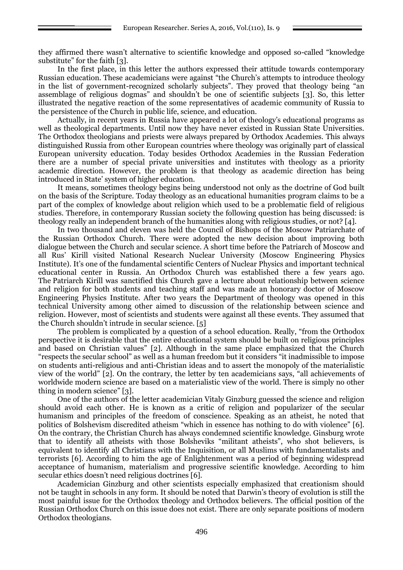they affirmed there wasn't alternative to scientific knowledge and opposed so-called "knowledge substitute" for the faith [3].

In the first place, in this letter the authors expressed their attitude towards contemporary Russian education. These academicians were against "the Church's attempts to introduce theology in the list of government-recognized scholarly subjects". They proved that theology being "an assemblage of religious dogmas" and shouldn't be one of scientific subjects [3]. So, this letter illustrated the negative reaction of the some representatives of academic community of Russia to the persistence of the Church in public life, science, and education.

Actually, in recent years in Russia have appeared a lot of theology's educational programs as well as theological departments. Until now they have never existed in Russian State Universities. The Orthodox theologians and priests were always prepared by Orthodox Academies. This always distinguished Russia from other European countries where theology was originally part of classical European university education. Today besides Orthodox Academies in the Russian Federation there are a number of special private universities and institutes with theology as a priority academic direction. However, the problem is that theology as academic direction has being introduced in State' system of higher education.

It means, sometimes theology begins being understood not only as the doctrine of God built on the basis of the Scripture. Today theology as an educational humanities program claims to be a part of the complex of knowledge about religion which used to be a problematic field of religious studies. Therefore, in contemporary Russian society the following question has being discussed: is theology really an independent branch of the humanities along with religious studies, or not? [4].

In two thousand and eleven was held the Council of Bishops of the Moscow Patriarchate of the Russian Orthodox Church. There were adopted the new decision about improving both dialogue between the Church and secular science. A short time before the Patriarch of Moscow and all Rus' Kirill visited National Research Nuclear University (Moscow Engineering Physics Institute). It's one of the fundamental scientific Centers of Nuclear Physics and important technical educational center in Russia. An Orthodox Church was established there a few years ago. The Patriarch Kirill was sanctified this Church gave a lecture about relationship between science and religion for both students and teaching staff and was made an honorary doctor of Moscow Engineering Physics Institute. After two years the Department of theology was opened in this technical University among other aimed to discussion of the relationship between science and religion. However, most of scientists and students were against all these events. They assumed that the Church shouldn't intrude in secular science. [5]

The problem is complicated by a question of a school education. Really, "from the Orthodox perspective it is desirable that the entire educational system should be built on religious principles and based on Christian values" [2]. Although in the same place emphasized that the Church "respects the secular school" as well as a human freedom but it considers "it inadmissible to impose on students anti-religious and anti-Christian ideas and to assert the monopoly of the materialistic view of the world" [2]. On the contrary, the letter by ten academicians says, "all achievements of worldwide modern science are based on a materialistic view of the world. There is simply no other thing in modern science" [3].

One of the authors of the letter academician Vitaly Ginzburg guessed the science and religion should avoid each other. He is known as a critic of religion and popularizer of the secular humanism and principles of the freedom of conscience. Speaking as an atheist, he noted that politics of Bolshevism discredited atheism "which in essence has nothing to do with violence" [6]. On the contrary, the Christian Church has always condemned scientific knowledge. Ginsburg wrote that to identify all atheists with those Bolsheviks "militant atheists", who shot believers, is equivalent to identify all Christians with the Inquisition, or all Muslims with fundamentalists and terrorists [6]. According to him the age of Enlightenment was a period of beginning widespread acceptance of humanism, materialism and progressive scientific knowledge. According to him secular ethics doesn't need religious doctrines [6].

Academician Ginzburg and other scientists especially emphasized that creationism should not be taught in schools in any form. It should be noted that Darwin's theory of evolution is still the most painful issue for the Orthodox theology and Orthodox believers. The official position of the Russian Orthodox Church on this issue does not exist. There are only separate positions of modern Orthodox theologians.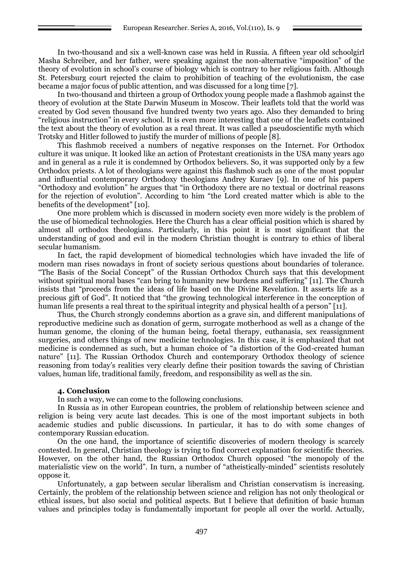In two-thousand and six a well-known case was held in Russia. A fifteen year old schoolgirl Masha Schreiber, and her father, were speaking against the non-alternative "imposition" of the theory of evolution in school's course of biology which is contrary to her religious faith. Although St. Petersburg court rejected the claim to prohibition of teaching of the evolutionism, the case became a major focus of public attention, and was discussed for a long time [7].

In two-thousand and thirteen a group of Orthodox young people made a flashmob against the theory of evolution at the State Darwin Museum in Moscow. Their leaflets told that the world was created by God seven thousand five hundred twenty two years ago. Also they demanded to bring "religious instruction" in every school. It is even more interesting that one of the leaflets contained the text about the theory of evolution as a real threat. It was called a pseudoscientific myth which Trotsky and Hitler followed to justify the murder of millions of people [8].

This flashmob received a numbers of negative responses on the Internet. For Orthodox culture it was unique. It looked like an action of Protestant creationists in the USA many years ago and in general as a rule it is condemned by Orthodox believers. So, it was supported only by a few Orthodox priests. A lot of theologians were against this flashmob such as one of the most popular and influential contemporary Orthodoxy theologians Andrey Kuraev [9]. In one of his papers "Orthodoxy and evolution" he argues that "in Orthodoxy there are no textual or doctrinal reasons for the rejection of evolution". According to him "the Lord created matter which is able to the benefits of the development" [10].

One more problem which is discussed in modern society even more widely is the problem of the use of biomedical technologies. Here the Church has a clear official position which is shared by almost all orthodox theologians. Particularly, in this point it is most significant that the understanding of good and evil in the modern Christian thought is contrary to ethics of liberal secular humanism.

In fact, the rapid development of biomedical technologies which have invaded the life of modern man rises nowadays in front of society serious questions about boundaries of tolerance. "The Basis of the Social Concept" of the Russian Orthodox Church says that this development without spiritual moral bases "can bring to humanity new burdens and suffering" [11]. The Church insists that "proceeds from the ideas of life based on the Divine Revelation. It asserts life as a precious gift of God". It noticed that "the growing technological interference in the conception of human life presents a real threat to the spiritual integrity and physical health of a person" [11].

Thus, the Church strongly condemns abortion as a grave sin, and different manipulations of reproductive medicine such as donation of germ, surrogate motherhood as well as a change of the human genome, the cloning of the human being, foetal therapy, euthanasia, sex reassignment surgeries, and others things of new medicine technologies. In this case, it is emphasized that not medicine is condemned as such, but a human choice of "a distortion of the God-created human nature" [11]. The Russian Orthodox Church and contemporary Orthodox theology of science reasoning from today's realities very clearly define their position towards the saving of Christian values, human life, traditional family, freedom, and responsibility as well as the sin.

## **4. Conclusion**

In such a way, we can come to the following conclusions.

In Russia as in other European countries, the problem of relationship between science and religion is being very acute last decades. This is one of the most important subjects in both academic studies and public discussions. In particular, it has to do with some changes of contemporary Russian education.

On the one hand, the importance of scientific discoveries of modern theology is scarcely contested. In general, Christian theology is trying to find correct explanation for scientific theories. However, on the other hand, the Russian Orthodox Church opposed "the monopoly of the materialistic view on the world". In turn, a number of "atheistically-minded" scientists resolutely oppose it.

Unfortunately, a gap between secular liberalism and Christian conservatism is increasing. Certainly, the problem of the relationship between science and religion has not only theological or ethical issues, but also social and political aspects. But I believe that definition of basic human values and principles today is fundamentally important for people all over the world. Actually,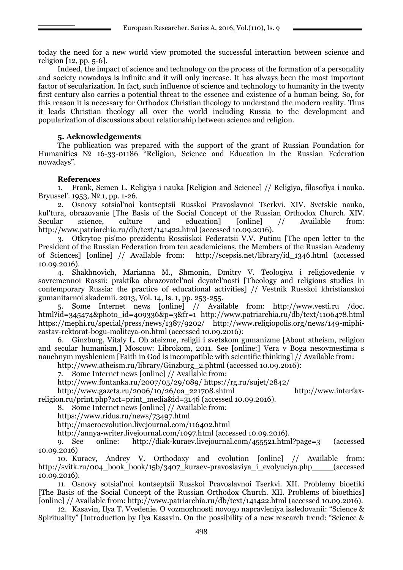today the need for a new world view promoted the successful interaction between science and religion [12, pp. 5-6].

Indeed, the impact of science and technology on the process of the formation of a personality and society nowadays is infinite and it will only increase. It has always been the most important factor of secularization. In fact, such influence of science and technology to humanity in the twenty first century also carries a potential threat to the essence and existence of a human being. So, for this reason it is necessary for Orthodox Christian theology to understand the modern reality. Thus it leads Christian theology all over the world including Russia to the development and popularization of discussions about relationship between science and religion.

## **5. Acknowledgements**

The publication was prepared with the support of the grant of Russian Foundation for Humanities № 16-33-01186 "Religion, Science and Education in the Russian Federation nowadays".

## **References**

1. Frank, Semen L. Religiya i nauka [Religion and Science] // Religiya, filosofiya i nauka. Bryussel'. 1953, № 1, pp. 1-26.

2. Osnovy sotsial'noi kontseptsii Russkoi Pravoslavnoi Tserkvi. XIV. Svetskie nauka, kul'tura, obrazovanie [The Basis of the Social Concept of the Russian Orthodox Church. XIV. Secular science, culture and education] [online] // Available from: <http://www.patriarchia.ru/db/text/141422.html> (accessed 10.09.2016).

3. Otkrytoe pis'mo prezidentu Rossiiskoi Federatsii V.V. Putinu [The open letter to the President of the Russian Federation from ten academicians, the Members of the Russian Academy of Sciences] [online] // Available from: [http://scepsis.net/library/id\\_1346.html](http://scepsis.net/library/id_1346.html) (accessed 10.09.2016).

4. Shakhnovich, Marianna M., Shmonin, Dmitry V. Teologiya i religiovedenie v sovremennoi Rossii: praktika obrazovatel'noi deyatel'nosti [Theology and religious studies in contemporary Russia: the practice of educational activities] // Vestnik Russkoi khristianskoi gumanitarnoi akademii. 2013, Vol. 14, Is. 1, pp. 253-255.

5. Some Internet news [online] // Available from: http://www.vesti.ru /doc. html?id=345474&photo\_id=409336&p=3&fr=1 <http://www.patriarchia.ru/db/text/1106478.html> <https://mephi.ru/special/press/news/1387/9202/> [http://www.religiopolis.org/news/149-miphi](http://www.religiopolis.org/news/149-miphi-zastav-rektorat-bogu-molitcya-on.html)[zastav-rektorat-bogu-molitcya-on.html](http://www.religiopolis.org/news/149-miphi-zastav-rektorat-bogu-molitcya-on.html) (accessed 10.09.2016):

6. Ginzburg, Vitaly L. Ob ateizme, religii i svetskom gumanizme [About atheism, religion and secular humanism.] Moscow: Librokom, 2011. See [online:] Vera v Boga nesovmestima s nauchnym myshleniem [Faith in God is incompatible with scientific thinking] // Available from:

[http://www.atheism.ru/library/Ginzburg\\_2.phtml](http://www.atheism.ru/library/Ginzburg_2.phtml) (accessed 10.09.2016):

7. Some Internet news [online] // Available from:

<http://www.fontanka.ru/2007/05/29/089/> <https://rg.ru/sujet/2842/>

[http://www.gazeta.ru/2006/10/26/oa\\_221708.shtml](http://www.gazeta.ru/2006/10/26/oa_221708.shtml) [http://www.interfax-](http://www.interfax-religion.ru/print.php?act=print_media&id=3146)

[religion.ru/print.php?act=print\\_media&id=3146](http://www.interfax-religion.ru/print.php?act=print_media&id=3146) (accessed 10.09.2016).

8. Some Internet news [online] // Available from:

<https://www.ridus.ru/news/73497.html>

<http://macroevolution.livejournal.com/116402.html>

<http://annya-writer.livejournal.com/1097.html> (accessed 10.09.2016).

9. See online: <http://diak-kuraev.livejournal.com/455521.html?page=3> (accessed 10.09.2016)

10. Kuraev, Andrey V. Orthodoxy and evolution [online] // Available from: [http://svitk.ru/004\\_book\\_book/15b/3407\\_kuraev-pravoslaviya\\_i\\_evolyuciya.php](http://svitk.ru/004_book_book/15b/3407_kuraev-pravoslaviya_i_evolyuciya.php) (accessed 10.09.2016).

11. Osnovy sotsial'noi kontseptsii Russkoi Pravoslavnoi Tserkvi. XII. Problemy bioetiki [The Basis of the Social Concept of the Russian Orthodox Church. XII. Problems of bioethics] [online] // Available from:<http://www.patriarchia.ru/db/text/141422.html> (accessed 10.09.2016).

12. Kasavin, Ilya T. Vvedenie. O vozmozhnosti novogo napravleniya issledovanii: "Science & Spirituality" [Introduction by Ilya Kasavin. On the possibility of a new research trend: "Science &